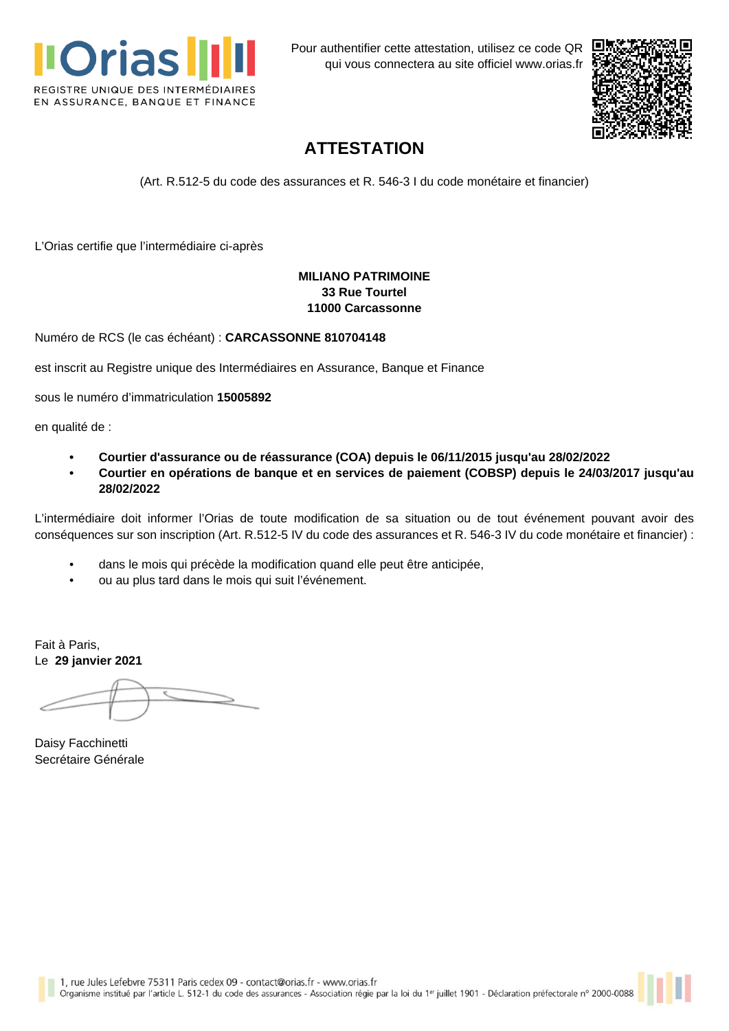

Pour authentifier cette attestation, utilisez ce code QR qui vous connectera au site officiel [www.orias.fr](https://www.orias.fr)



## **ATTESTATION**

(Art. R.512-5 du code des assurances et R. 546-3 I du code monétaire et financier)

L'Orias certifie que l'intermédiaire ci-après

## **MILIANO PATRIMOINE 33 Rue Tourtel 11000 Carcassonne**

Numéro de RCS (le cas échéant) : **CARCASSONNE 810704148**

est inscrit au Registre unique des Intermédiaires en Assurance, Banque et Finance

sous le numéro d'immatriculation **15005892**

en qualité de :

- **• Courtier d'assurance ou de réassurance (COA) depuis le 06/11/2015 jusqu'au 28/02/2022**
- **• Courtier en opérations de banque et en services de paiement (COBSP) depuis le 24/03/2017 jusqu'au 28/02/2022**

L'intermédiaire doit informer l'Orias de toute modification de sa situation ou de tout événement pouvant avoir des conséquences sur son inscription (Art. R.512-5 IV du code des assurances et R. 546-3 IV du code monétaire et financier) :

- dans le mois qui précède la modification quand elle peut être anticipée,
- ou au plus tard dans le mois qui suit l'événement.

Fait à Paris, Le **29 janvier 2021**

Daisy Facchinetti Secrétaire Générale